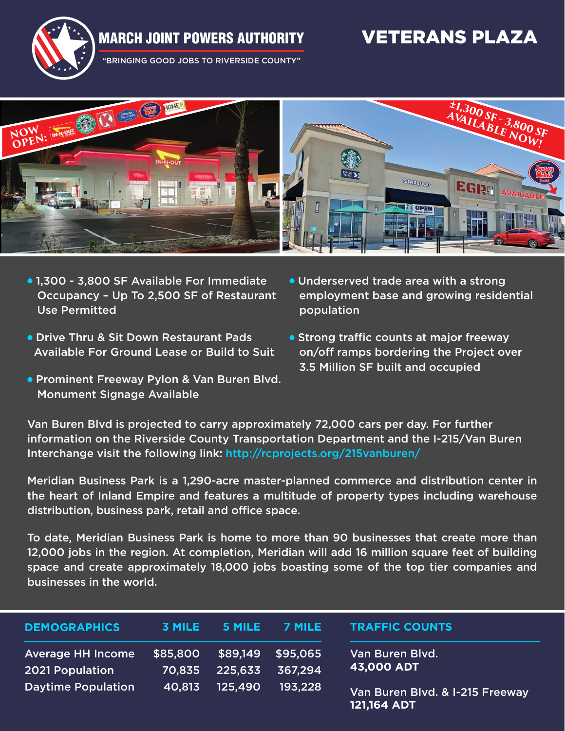## MARCH JOINT POWERS AUTHORITY VETERANS PLAZA



"BRINGING GOOD JOBS TO RIVERSIDE COUNTY"



- 1,300 3,800 SF Available For Immediate Occupancy – Up To 2,500 SF of Restaurant Use Permitted
- Drive Thru & Sit Down Restaurant Pads Available For Ground Lease or Build to Suit
- Prominent Freeway Pylon & Van Buren Blvd. Monument Signage Available
- Underserved trade area with a strong employment base and growing residential population
- Strong traffic counts at major freeway on/off ramps bordering the Project over 3.5 Million SF built and occupied

Van Buren Blvd is projected to carry approximately 72,000 cars per day. For further information on the Riverside County Transportation Department and the I-215/Van Buren Interchange visit the following link: http://rcprojects.org/215vanburen/

Meridian Business Park is a 1,290-acre master-planned commerce and distribution center in the heart of Inland Empire and features a multitude of property types including warehouse distribution, business park, retail and office space.

To date, Meridian Business Park is home to more than 90 businesses that create more than 12,000 jobs in the region. At completion, Meridian will add 16 million square feet of building space and create approximately 18,000 jobs boasting some of the top tier companies and businesses in the world.

| <b>DEMOGRAPHICS</b>                                | <b>3 MILE</b>      | 5 MILE              | 7 MILE              | <b>TRAFFIC COUNTS</b>                          |
|----------------------------------------------------|--------------------|---------------------|---------------------|------------------------------------------------|
| <b>Average HH Income</b><br><b>2021 Population</b> | \$85,800<br>70,835 | \$89,149<br>225.633 | \$95.065<br>367,294 | Van Buren Blvd.,<br>43,000 ADT                 |
| <b>Daytime Population</b>                          | 40,813             | 125.490             | 193.228             | Van Buren Blvd. & I-215 Freeway<br>121,164 ADT |